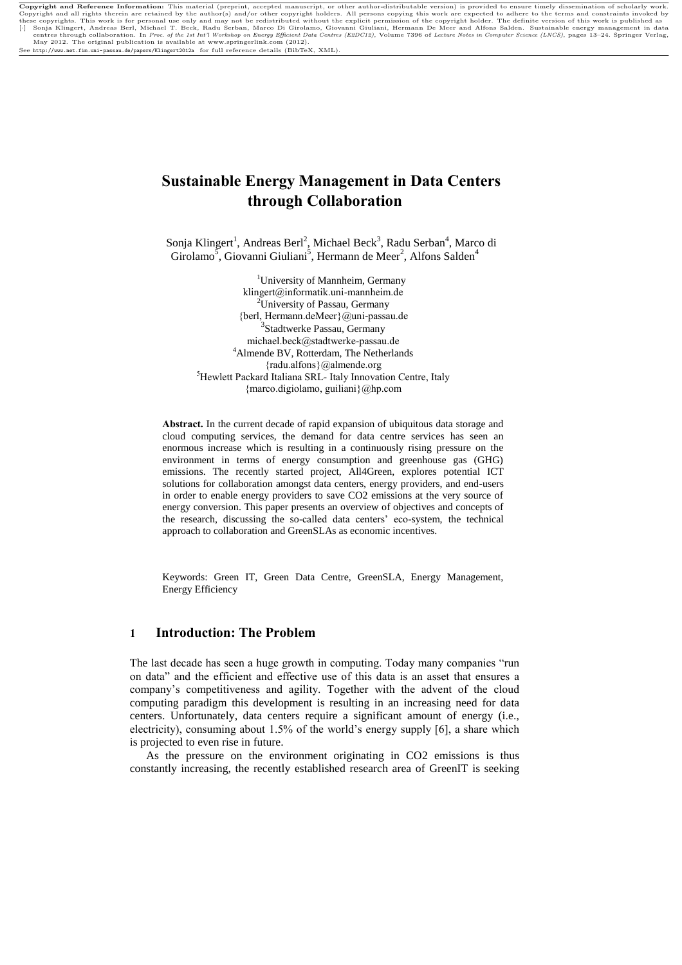Copyright and Reference Information: This material (preprint, accepted manuscript, or other author-distributable version) is provided to ensure timely dissemination of scholarly work.<br>Copyright and all rights therein are http://www.net.fim.uni-passau.de/papers/Klingert2012a for full reference details (BibTeX, XML).

# **Sustainable Energy Management in Data Centers through Collaboration**

Sonja Klingert<sup>1</sup>, Andreas Berl<sup>2</sup>, Michael Beck<sup>3</sup>, Radu Serban<sup>4</sup>, Marco di Girolamo<sup>5</sup>, Giovanni Giuliani<sup>5</sup>, Hermann de Meer<sup>2</sup>, Alfons Salden<sup>4</sup>

<sup>1</sup>University of Mannheim, Germany klingert@informatik.uni-mannheim.de <sup>2</sup>University of Passau, Germany {berl, Hermann.deMeer}@uni-passau.de 3 Stadtwerke Passau, Germany michael.beck@stadtwerke-passau.de <sup>4</sup>Almende BV, Rotterdam, The Netherlands {radu.alfons}@almende.org <sup>5</sup>Hewlett Packard Italiana SRL- Italy Innovation Centre, Italy {marco.digiolamo, guiliani}@hp.com

**Abstract.** In the current decade of rapid expansion of ubiquitous data storage and cloud computing services, the demand for data centre services has seen an enormous increase which is resulting in a continuously rising pressure on the environment in terms of energy consumption and greenhouse gas (GHG) emissions. The recently started project, All4Green, explores potential ICT solutions for collaboration amongst data centers, energy providers, and end-users in order to enable energy providers to save CO2 emissions at the very source of energy conversion. This paper presents an overview of objectives and concepts of the research, discussing the so-called data centers' eco-system, the technical approach to collaboration and GreenSLAs as economic incentives.

Keywords: Green IT, Green Data Centre, GreenSLA, Energy Management, Energy Efficiency

### **1 Introduction: The Problem**

The last decade has seen a huge growth in computing. Today many companies "run on data" and the efficient and effective use of this data is an asset that ensures a company's competitiveness and agility. Together with the advent of the cloud computing paradigm this development is resulting in an increasing need for data centers. Unfortunately, data centers require a significant amount of energy (i.e., electricity), consuming about 1.5% of the world's energy supply [6], a share which is projected to even rise in future.

As the pressure on the environment originating in CO2 emissions is thus constantly increasing, the recently established research area of GreenIT is seeking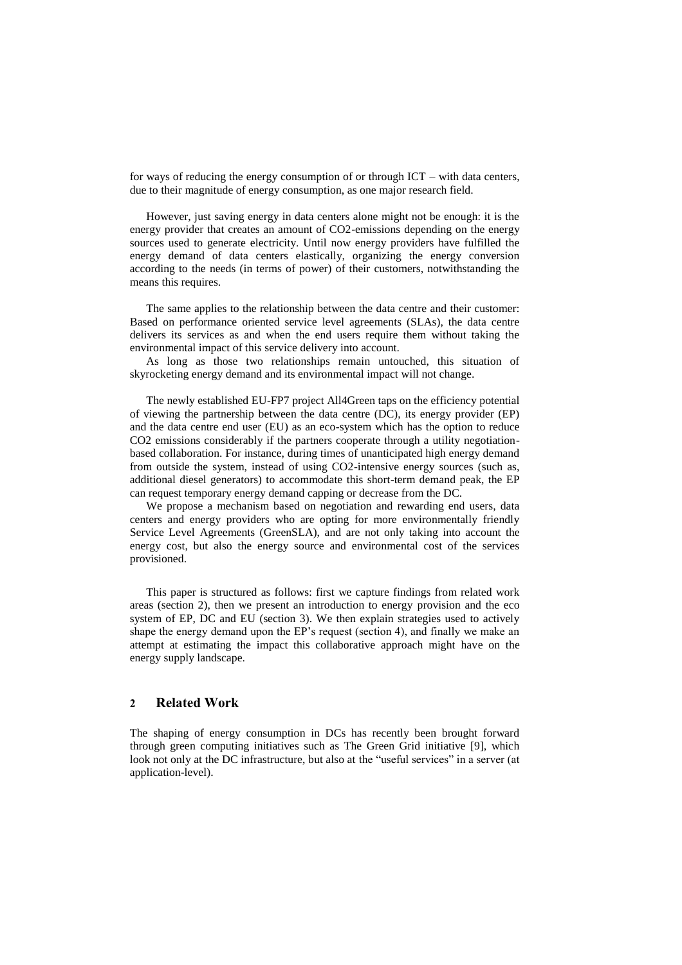for ways of reducing the energy consumption of or through ICT – with data centers, due to their magnitude of energy consumption, as one major research field.

However, just saving energy in data centers alone might not be enough: it is the energy provider that creates an amount of CO2-emissions depending on the energy sources used to generate electricity. Until now energy providers have fulfilled the energy demand of data centers elastically, organizing the energy conversion according to the needs (in terms of power) of their customers, notwithstanding the means this requires.

The same applies to the relationship between the data centre and their customer: Based on performance oriented service level agreements (SLAs), the data centre delivers its services as and when the end users require them without taking the environmental impact of this service delivery into account.

As long as those two relationships remain untouched, this situation of skyrocketing energy demand and its environmental impact will not change.

The newly established EU-FP7 project All4Green taps on the efficiency potential of viewing the partnership between the data centre (DC), its energy provider (EP) and the data centre end user (EU) as an eco-system which has the option to reduce CO2 emissions considerably if the partners cooperate through a utility negotiationbased collaboration. For instance, during times of unanticipated high energy demand from outside the system, instead of using CO2-intensive energy sources (such as, additional diesel generators) to accommodate this short-term demand peak, the EP can request temporary energy demand capping or decrease from the DC.

We propose a mechanism based on negotiation and rewarding end users, data centers and energy providers who are opting for more environmentally friendly Service Level Agreements (GreenSLA), and are not only taking into account the energy cost, but also the energy source and environmental cost of the services provisioned.

This paper is structured as follows: first we capture findings from related work areas (section 2), then we present an introduction to energy provision and the eco system of EP, DC and EU (section 3). We then explain strategies used to actively shape the energy demand upon the EP's request (section 4), and finally we make an attempt at estimating the impact this collaborative approach might have on the energy supply landscape.

# **2 Related Work**

The shaping of energy consumption in DCs has recently been brought forward through green computing initiatives such as The Green Grid initiative [9], which look not only at the DC infrastructure, but also at the "useful services" in a server (at application-level).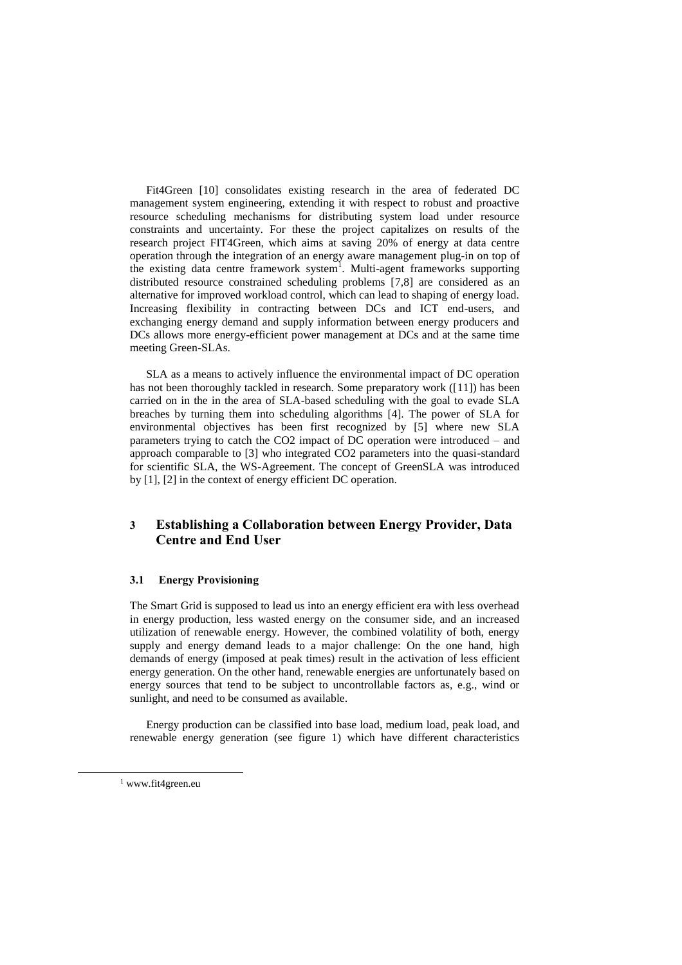Fit4Green [10] consolidates existing research in the area of federated DC management system engineering, extending it with respect to robust and proactive resource scheduling mechanisms for distributing system load under resource constraints and uncertainty. For these the project capitalizes on results of the research project FIT4Green, which aims at saving 20% of energy at data centre operation through the integration of an energy aware management plug-in on top of the existing data centre framework system<sup>1</sup>. Multi-agent frameworks supporting distributed resource constrained scheduling problems [\[7,](#page-12-0)8] are considered as an alternative for improved workload control, which can lead to shaping of energy load. Increasing flexibility in contracting between DCs and ICT end-users, and exchanging energy demand and supply information between energy producers and DCs allows more energy-efficient power management at DCs and at the same time meeting Green-SLAs.

SLA as a means to actively influence the environmental impact of DC operation has not been thoroughly tackled in research. Some preparatory work ([11]) has been carried on in the in the area of SLA-based scheduling with the goal to evade SLA breaches by turning them into scheduling algorithms [4]. The power of SLA for environmental objectives has been first recognized by [5] where new SLA parameters trying to catch the CO2 impact of DC operation were introduced – and approach comparable to [3] who integrated CO2 parameters into the quasi-standard for scientific SLA, the WS-Agreement. The concept of GreenSLA was introduced by [1], [2] in the context of energy efficient DC operation.

# **3 Establishing a Collaboration between Energy Provider, Data Centre and End User**

#### **3.1 Energy Provisioning**

The Smart Grid is supposed to lead us into an energy efficient era with less overhead in energy production, less wasted energy on the consumer side, and an increased utilization of renewable energy. However, the combined volatility of both, energy supply and energy demand leads to a major challenge: On the one hand, high demands of energy (imposed at peak times) result in the activation of less efficient energy generation. On the other hand, renewable energies are unfortunately based on energy sources that tend to be subject to uncontrollable factors as, e.g., wind or sunlight, and need to be consumed as available.

Energy production can be classified into base load, medium load, peak load, and renewable energy generation (see figure 1) which have different characteristics

l

<sup>1</sup> www.fit4green.eu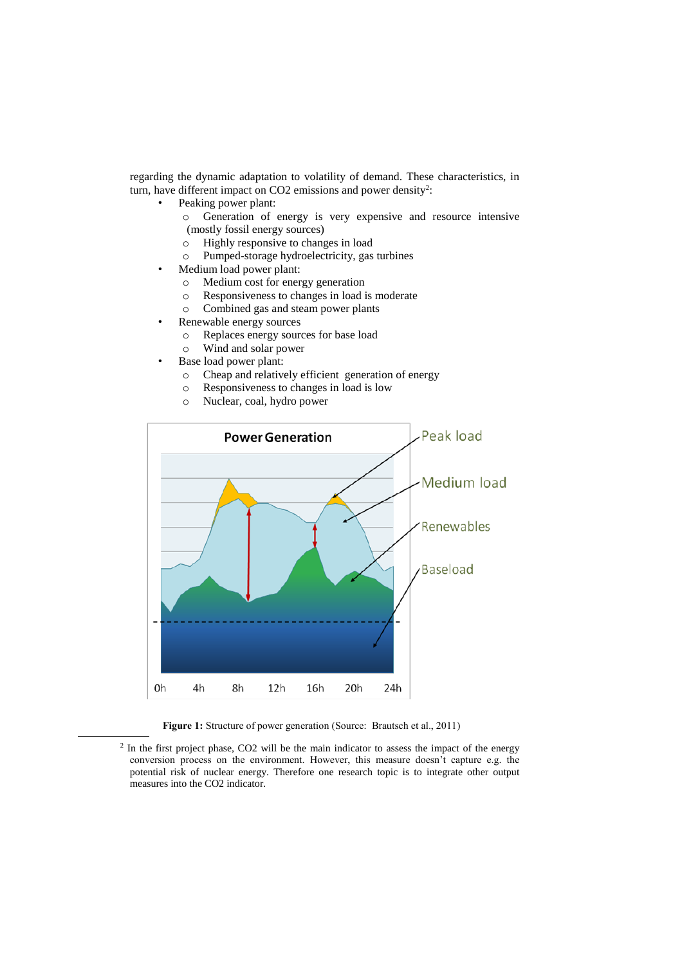regarding the dynamic adaptation to volatility of demand. These characteristics, in turn, have different impact on  $CO2$  emissions and power density<sup>2</sup>:

- Peaking power plant:
	- o Generation of energy is very expensive and resource intensive (mostly fossil energy sources)
	- o Highly responsive to changes in load
	- o Pumped-storage hydroelectricity, gas turbines
- Medium load power plant:
	- o Medium cost for energy generation
	- o Responsiveness to changes in load is moderate
	- o Combined gas and steam power plants
- Renewable energy sources
	- o Replaces energy sources for base load
	- o Wind and solar power
- Base load power plant:

-

- o Cheap and relatively efficient generation of energy
- o Responsiveness to changes in load is low
- o Nuclear, coal, hydro power



Figure 1: Structure of power generation (Source: Brautsch et al., 2011)

<sup>&</sup>lt;sup>2</sup> In the first project phase, CO2 will be the main indicator to assess the impact of the energy conversion process on the environment. However, this measure doesn't capture e.g. the potential risk of nuclear energy. Therefore one research topic is to integrate other output measures into the CO2 indicator.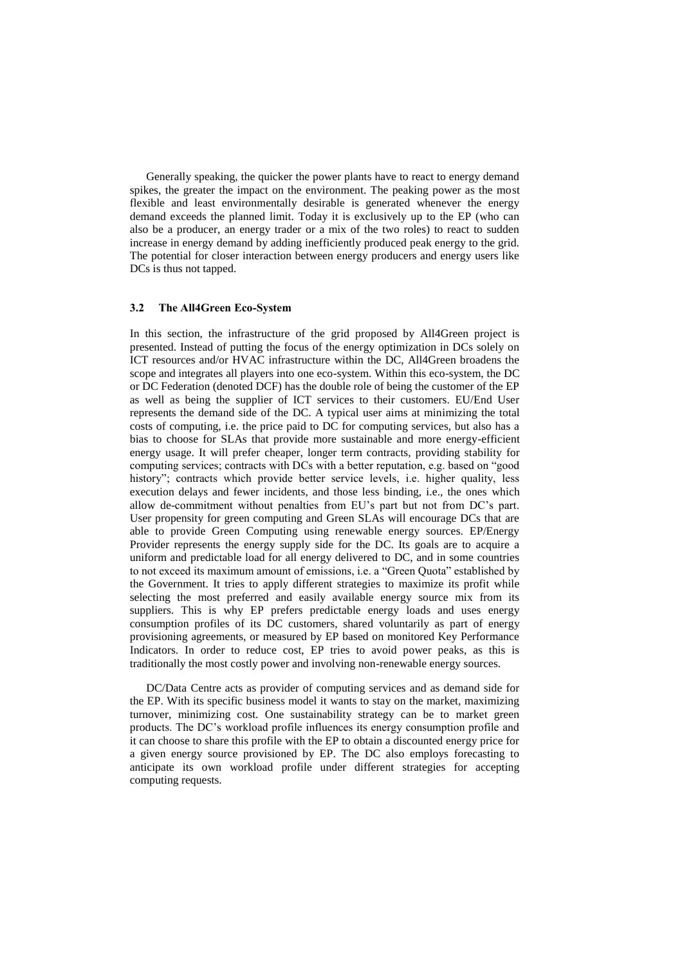Generally speaking, the quicker the power plants have to react to energy demand spikes, the greater the impact on the environment. The peaking power as the most flexible and least environmentally desirable is generated whenever the energy demand exceeds the planned limit. Today it is exclusively up to the EP (who can also be a producer, an energy trader or a mix of the two roles) to react to sudden increase in energy demand by adding inefficiently produced peak energy to the grid. The potential for closer interaction between energy producers and energy users like DCs is thus not tapped.

#### **3.2 The All4Green Eco-System**

In this section, the infrastructure of the grid proposed by All4Green project is presented. Instead of putting the focus of the energy optimization in DCs solely on ICT resources and/or HVAC infrastructure within the DC, All4Green broadens the scope and integrates all players into one eco-system. Within this eco-system, the DC or DC Federation (denoted DCF) has the double role of being the customer of the EP as well as being the supplier of ICT services to their customers. EU/End User represents the demand side of the DC. A typical user aims at minimizing the total costs of computing, i.e. the price paid to DC for computing services, but also has a bias to choose for SLAs that provide more sustainable and more energy-efficient energy usage. It will prefer cheaper, longer term contracts, providing stability for computing services; contracts with DCs with a better reputation, e.g. based on "good history"; contracts which provide better service levels, i.e. higher quality, less execution delays and fewer incidents, and those less binding, i.e., the ones which allow de-commitment without penalties from EU's part but not from DC's part. User propensity for green computing and Green SLAs will encourage DCs that are able to provide Green Computing using renewable energy sources. EP/Energy Provider represents the energy supply side for the DC. Its goals are to acquire a uniform and predictable load for all energy delivered to DC, and in some countries to not exceed its maximum amount of emissions, i.e. a "Green Quota" established by the Government. It tries to apply different strategies to maximize its profit while selecting the most preferred and easily available energy source mix from its suppliers. This is why EP prefers predictable energy loads and uses energy consumption profiles of its DC customers, shared voluntarily as part of energy provisioning agreements, or measured by EP based on monitored Key Performance Indicators. In order to reduce cost, EP tries to avoid power peaks, as this is traditionally the most costly power and involving non-renewable energy sources.

DC/Data Centre acts as provider of computing services and as demand side for the EP. With its specific business model it wants to stay on the market, maximizing turnover, minimizing cost. One sustainability strategy can be to market green products. The DC's workload profile influences its energy consumption profile and it can choose to share this profile with the EP to obtain a discounted energy price for a given energy source provisioned by EP. The DC also employs forecasting to anticipate its own workload profile under different strategies for accepting computing requests.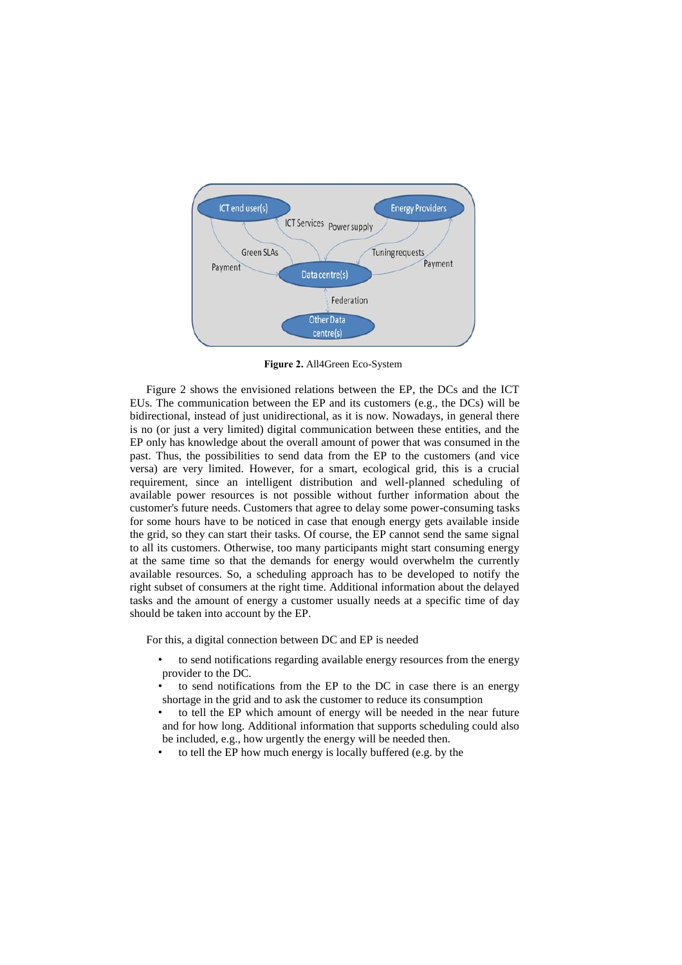

**Figure 2.** All4Green Eco-System

Figure 2 shows the envisioned relations between the EP, the DCs and the ICT EUs. The communication between the EP and its customers (e.g., the DCs) will be bidirectional, instead of just unidirectional, as it is now. Nowadays, in general there is no (or just a very limited) digital communication between these entities, and the EP only has knowledge about the overall amount of power that was consumed in the past. Thus, the possibilities to send data from the EP to the customers (and vice versa) are very limited. However, for a smart, ecological grid, this is a crucial requirement, since an intelligent distribution and well-planned scheduling of available power resources is not possible without further information about the customer's future needs. Customers that agree to delay some power-consuming tasks for some hours have to be noticed in case that enough energy gets available inside the grid, so they can start their tasks. Of course, the EP cannot send the same signal to all its customers. Otherwise, too many participants might start consuming energy at the same time so that the demands for energy would overwhelm the currently available resources. So, a scheduling approach has to be developed to notify the right subset of consumers at the right time. Additional information about the delayed tasks and the amount of energy a customer usually needs at a specific time of day should be taken into account by the EP.

For this, a digital connection between DC and EP is needed

- to send notifications regarding available energy resources from the energy provider to the DC.
- to send notifications from the EP to the DC in case there is an energy shortage in the grid and to ask the customer to reduce its consumption
- to tell the EP which amount of energy will be needed in the near future and for how long. Additional information that supports scheduling could also be included, e.g., how urgently the energy will be needed then.
- to tell the EP how much energy is locally buffered (e.g. by the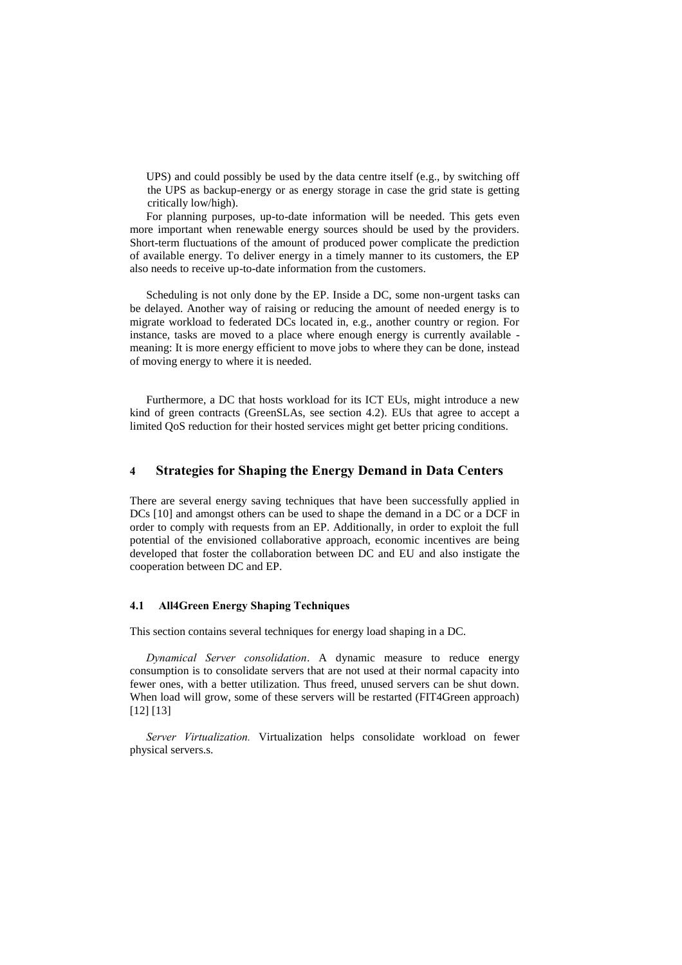UPS) and could possibly be used by the data centre itself (e.g., by switching off the UPS as backup-energy or as energy storage in case the grid state is getting critically low/high).

For planning purposes, up-to-date information will be needed. This gets even more important when renewable energy sources should be used by the providers. Short-term fluctuations of the amount of produced power complicate the prediction of available energy. To deliver energy in a timely manner to its customers, the EP also needs to receive up-to-date information from the customers.

Scheduling is not only done by the EP. Inside a DC, some non-urgent tasks can be delayed. Another way of raising or reducing the amount of needed energy is to migrate workload to federated DCs located in, e.g., another country or region. For instance, tasks are moved to a place where enough energy is currently available meaning: It is more energy efficient to move jobs to where they can be done, instead of moving energy to where it is needed.

Furthermore, a DC that hosts workload for its ICT EUs, might introduce a new kind of green contracts (GreenSLAs, see section 4.2). EUs that agree to accept a limited QoS reduction for their hosted services might get better pricing conditions.

### **4 Strategies for Shaping the Energy Demand in Data Centers**

There are several energy saving techniques that have been successfully applied in DCs [10] and amongst others can be used to shape the demand in a DC or a DCF in order to comply with requests from an EP. Additionally, in order to exploit the full potential of the envisioned collaborative approach, economic incentives are being developed that foster the collaboration between DC and EU and also instigate the cooperation between DC and EP.

#### **4.1 All4Green Energy Shaping Techniques**

This section contains several techniques for energy load shaping in a DC.

*Dynamical Server consolidation*. A dynamic measure to reduce energy consumption is to consolidate servers that are not used at their normal capacity into fewer ones, with a better utilization. Thus freed, unused servers can be shut down. When load will grow, some of these servers will be restarted (FIT4Green approach) [12] [13]

*Server Virtualization.* Virtualization helps consolidate workload on fewer physical servers.s.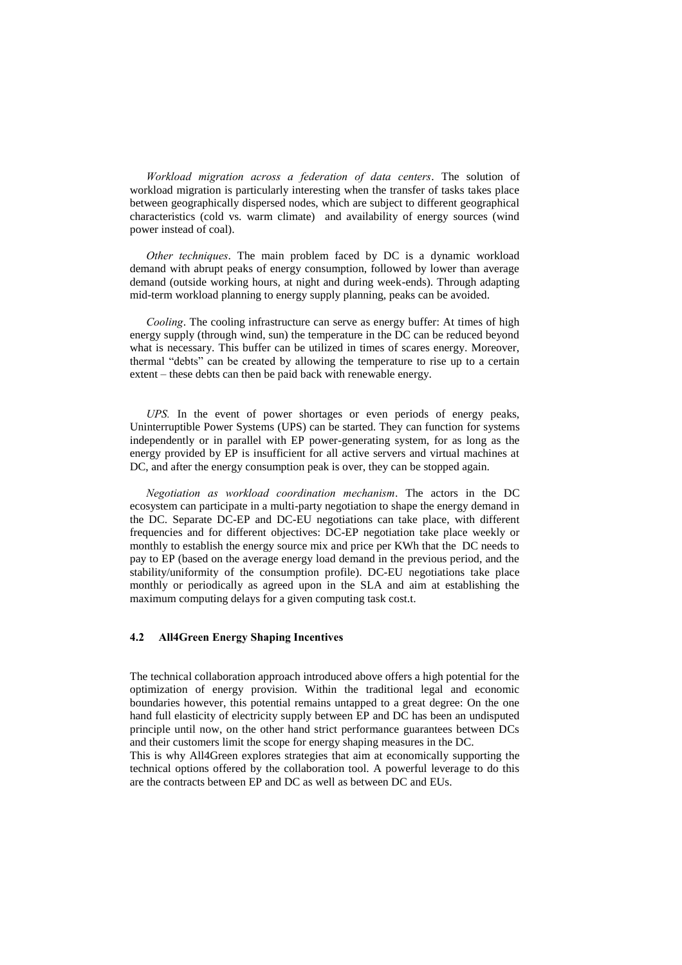*Workload migration across a federation of data centers*. The solution of workload migration is particularly interesting when the transfer of tasks takes place between geographically dispersed nodes, which are subject to different geographical characteristics (cold vs. warm climate) and availability of energy sources (wind power instead of coal).

*Other techniques*. The main problem faced by DC is a dynamic workload demand with abrupt peaks of energy consumption, followed by lower than average demand (outside working hours, at night and during week-ends). Through adapting mid-term workload planning to energy supply planning, peaks can be avoided.

*Cooling*. The cooling infrastructure can serve as energy buffer: At times of high energy supply (through wind, sun) the temperature in the DC can be reduced beyond what is necessary. This buffer can be utilized in times of scares energy. Moreover, thermal "debts" can be created by allowing the temperature to rise up to a certain extent – these debts can then be paid back with renewable energy.

*UPS.* In the event of power shortages or even periods of energy peaks, Uninterruptible Power Systems (UPS) can be started. They can function for systems independently or in parallel with EP power-generating system, for as long as the energy provided by EP is insufficient for all active servers and virtual machines at DC, and after the energy consumption peak is over, they can be stopped again.

*Negotiation as workload coordination mechanism*. The actors in the DC ecosystem can participate in a multi-party negotiation to shape the energy demand in the DC. Separate DC-EP and DC-EU negotiations can take place, with different frequencies and for different objectives: DC-EP negotiation take place weekly or monthly to establish the energy source mix and price per KWh that the DC needs to pay to EP (based on the average energy load demand in the previous period, and the stability/uniformity of the consumption profile). DC-EU negotiations take place monthly or periodically as agreed upon in the SLA and aim at establishing the maximum computing delays for a given computing task cost.t.

#### **4.2 All4Green Energy Shaping Incentives**

The technical collaboration approach introduced above offers a high potential for the optimization of energy provision. Within the traditional legal and economic boundaries however, this potential remains untapped to a great degree: On the one hand full elasticity of electricity supply between EP and DC has been an undisputed principle until now, on the other hand strict performance guarantees between DCs and their customers limit the scope for energy shaping measures in the DC.

This is why All4Green explores strategies that aim at economically supporting the technical options offered by the collaboration tool. A powerful leverage to do this are the contracts between EP and DC as well as between DC and EUs.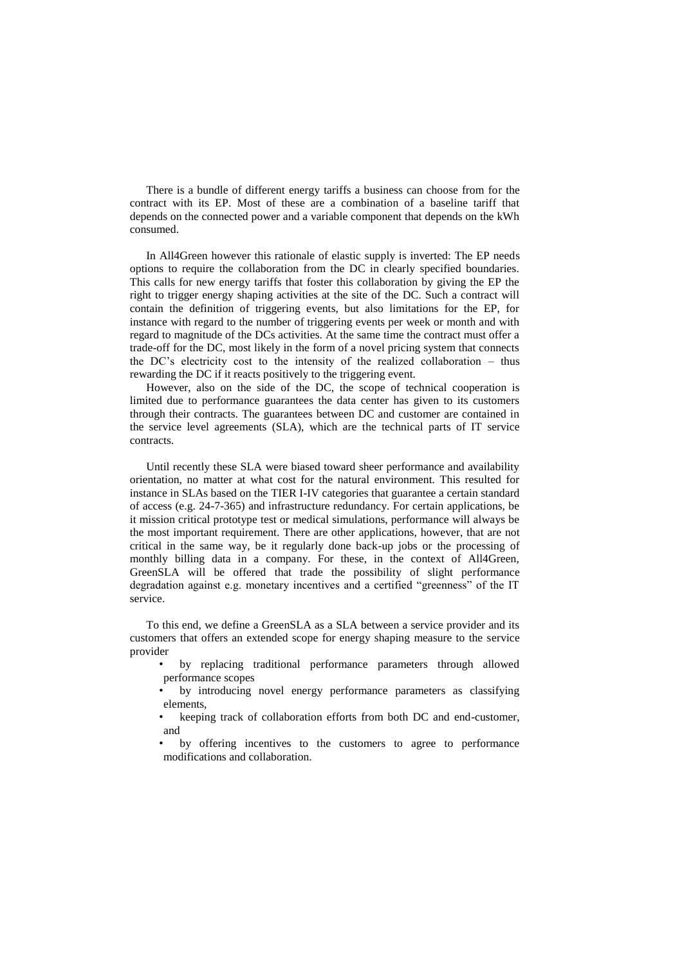There is a bundle of different energy tariffs a business can choose from for the contract with its EP. Most of these are a combination of a baseline tariff that depends on the connected power and a variable component that depends on the kWh consumed.

In All4Green however this rationale of elastic supply is inverted: The EP needs options to require the collaboration from the DC in clearly specified boundaries. This calls for new energy tariffs that foster this collaboration by giving the EP the right to trigger energy shaping activities at the site of the DC. Such a contract will contain the definition of triggering events, but also limitations for the EP, for instance with regard to the number of triggering events per week or month and with regard to magnitude of the DCs activities. At the same time the contract must offer a trade-off for the DC, most likely in the form of a novel pricing system that connects the DC's electricity cost to the intensity of the realized collaboration – thus rewarding the DC if it reacts positively to the triggering event.

However, also on the side of the DC, the scope of technical cooperation is limited due to performance guarantees the data center has given to its customers through their contracts. The guarantees between DC and customer are contained in the service level agreements (SLA), which are the technical parts of IT service contracts.

Until recently these SLA were biased toward sheer performance and availability orientation, no matter at what cost for the natural environment. This resulted for instance in SLAs based on the TIER I-IV categories that guarantee a certain standard of access (e.g. 24-7-365) and infrastructure redundancy. For certain applications, be it mission critical prototype test or medical simulations, performance will always be the most important requirement. There are other applications, however, that are not critical in the same way, be it regularly done back-up jobs or the processing of monthly billing data in a company. For these, in the context of All4Green, GreenSLA will be offered that trade the possibility of slight performance degradation against e.g. monetary incentives and a certified "greenness" of the IT service.

To this end, we define a GreenSLA as a SLA between a service provider and its customers that offers an extended scope for energy shaping measure to the service provider

- by replacing traditional performance parameters through allowed performance scopes
- by introducing novel energy performance parameters as classifying elements,
- keeping track of collaboration efforts from both DC and end-customer, and
- by offering incentives to the customers to agree to performance modifications and collaboration.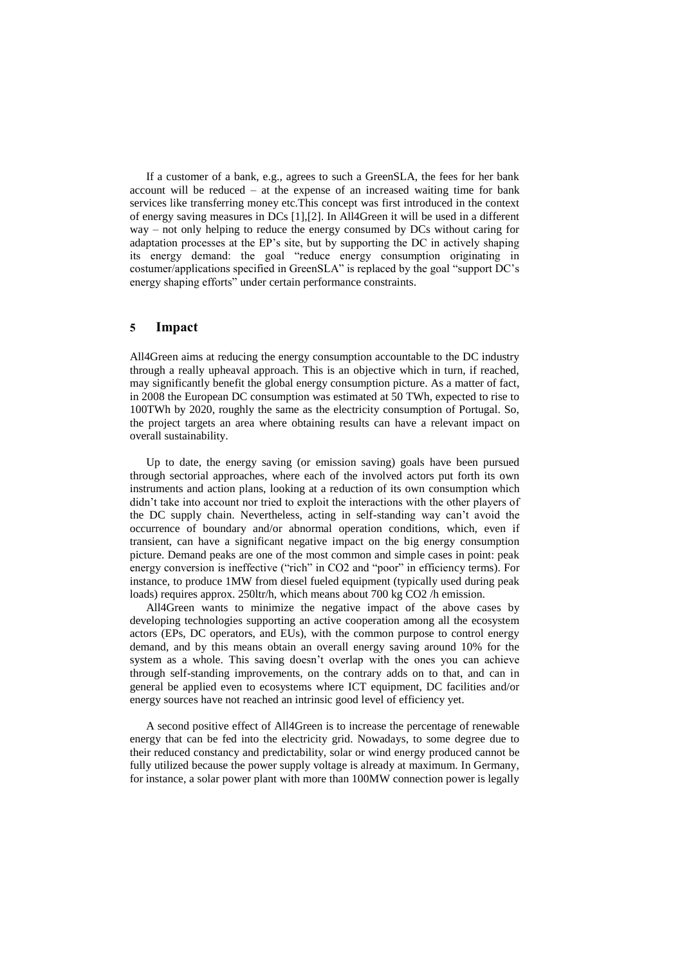If a customer of a bank, e.g., agrees to such a GreenSLA, the fees for her bank account will be reduced – at the expense of an increased waiting time for bank services like transferring money etc.This concept was first introduced in the context of energy saving measures in DCs [1],[2]. In All4Green it will be used in a different way – not only helping to reduce the energy consumed by DCs without caring for adaptation processes at the EP's site, but by supporting the DC in actively shaping its energy demand: the goal "reduce energy consumption originating in costumer/applications specified in GreenSLA" is replaced by the goal "support DC's energy shaping efforts" under certain performance constraints.

#### **5 Impact**

All4Green aims at reducing the energy consumption accountable to the DC industry through a really upheaval approach. This is an objective which in turn, if reached, may significantly benefit the global energy consumption picture. As a matter of fact, in 2008 the European DC consumption was estimated at 50 TWh, expected to rise to 100TWh by 2020, roughly the same as the electricity consumption of Portugal. So, the project targets an area where obtaining results can have a relevant impact on overall sustainability.

Up to date, the energy saving (or emission saving) goals have been pursued through sectorial approaches, where each of the involved actors put forth its own instruments and action plans, looking at a reduction of its own consumption which didn't take into account nor tried to exploit the interactions with the other players of the DC supply chain. Nevertheless, acting in self-standing way can't avoid the occurrence of boundary and/or abnormal operation conditions, which, even if transient, can have a significant negative impact on the big energy consumption picture. Demand peaks are one of the most common and simple cases in point: peak energy conversion is ineffective ("rich" in CO2 and "poor" in efficiency terms). For instance, to produce 1MW from diesel fueled equipment (typically used during peak loads) requires approx. 250ltr/h, which means about 700 kg CO2 /h emission.

All4Green wants to minimize the negative impact of the above cases by developing technologies supporting an active cooperation among all the ecosystem actors (EPs, DC operators, and EUs), with the common purpose to control energy demand, and by this means obtain an overall energy saving around 10% for the system as a whole. This saving doesn't overlap with the ones you can achieve through self-standing improvements, on the contrary adds on to that, and can in general be applied even to ecosystems where ICT equipment, DC facilities and/or energy sources have not reached an intrinsic good level of efficiency yet.

A second positive effect of All4Green is to increase the percentage of renewable energy that can be fed into the electricity grid. Nowadays, to some degree due to their reduced constancy and predictability, solar or wind energy produced cannot be fully utilized because the power supply voltage is already at maximum. In Germany, for instance, a solar power plant with more than 100MW connection power is legally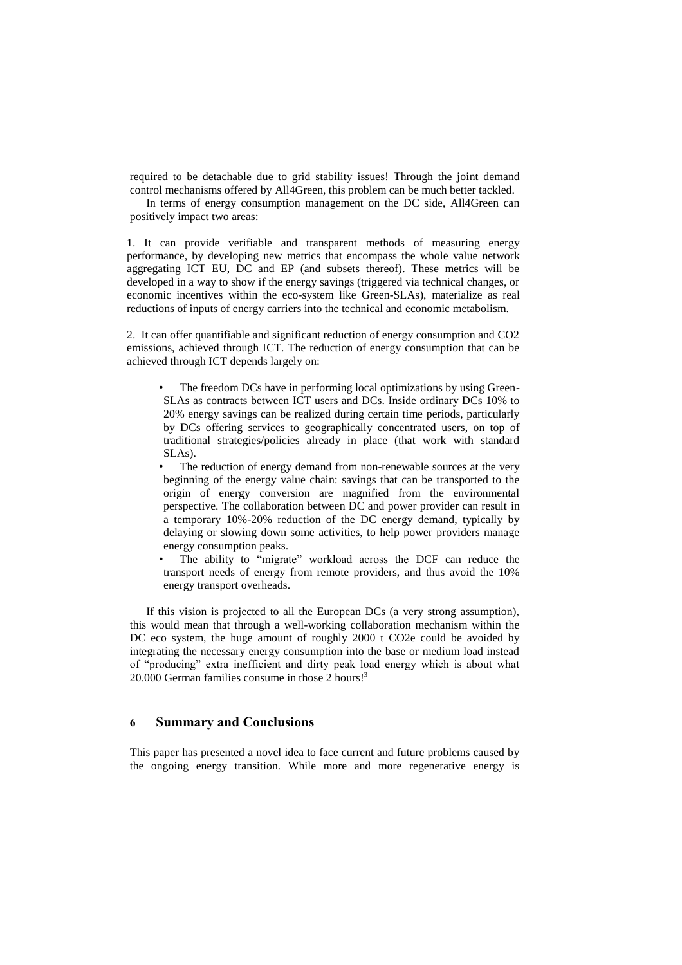required to be detachable due to grid stability issues! Through the joint demand control mechanisms offered by All4Green, this problem can be much better tackled.

In terms of energy consumption management on the DC side, All4Green can positively impact two areas:

1. It can provide verifiable and transparent methods of measuring energy performance, by developing new metrics that encompass the whole value network aggregating ICT EU, DC and EP (and subsets thereof). These metrics will be developed in a way to show if the energy savings (triggered via technical changes, or economic incentives within the eco-system like Green-SLAs), materialize as real reductions of inputs of energy carriers into the technical and economic metabolism.

2. It can offer quantifiable and significant reduction of energy consumption and CO2 emissions, achieved through ICT. The reduction of energy consumption that can be achieved through ICT depends largely on:

The freedom DCs have in performing local optimizations by using Green-SLAs as contracts between ICT users and DCs. Inside ordinary DCs 10% to 20% energy savings can be realized during certain time periods, particularly by DCs offering services to geographically concentrated users, on top of traditional strategies/policies already in place (that work with standard SLAs).

The reduction of energy demand from non-renewable sources at the very beginning of the energy value chain: savings that can be transported to the origin of energy conversion are magnified from the environmental perspective. The collaboration between DC and power provider can result in a temporary 10%-20% reduction of the DC energy demand, typically by delaying or slowing down some activities, to help power providers manage energy consumption peaks.

The ability to "migrate" workload across the DCF can reduce the transport needs of energy from remote providers, and thus avoid the 10% energy transport overheads.

If this vision is projected to all the European DCs (a very strong assumption), this would mean that through a well-working collaboration mechanism within the DC eco system, the huge amount of roughly 2000 t CO2e could be avoided by integrating the necessary energy consumption into the base or medium load instead of "producing" extra inefficient and dirty peak load energy which is about what 20.000 German families consume in those 2 hours!<sup>3</sup>

### **6 Summary and Conclusions**

This paper has presented a novel idea to face current and future problems caused by the ongoing energy transition. While more and more regenerative energy is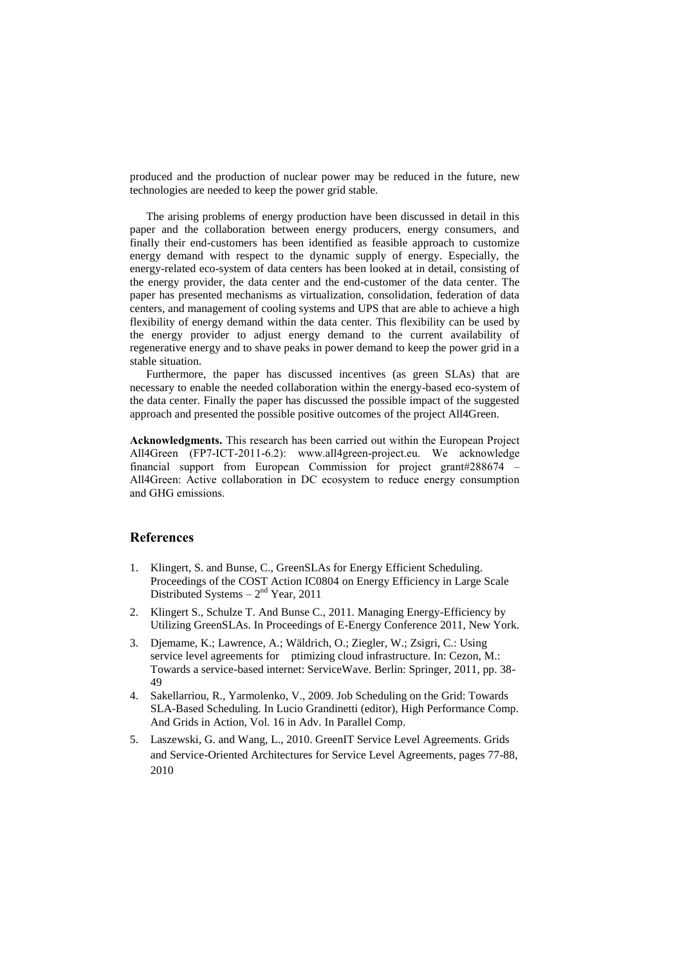produced and the production of nuclear power may be reduced in the future, new technologies are needed to keep the power grid stable.

The arising problems of energy production have been discussed in detail in this paper and the collaboration between energy producers, energy consumers, and finally their end-customers has been identified as feasible approach to customize energy demand with respect to the dynamic supply of energy. Especially, the energy-related eco-system of data centers has been looked at in detail, consisting of the energy provider, the data center and the end-customer of the data center. The paper has presented mechanisms as virtualization, consolidation, federation of data centers, and management of cooling systems and UPS that are able to achieve a high flexibility of energy demand within the data center. This flexibility can be used by the energy provider to adjust energy demand to the current availability of regenerative energy and to shave peaks in power demand to keep the power grid in a stable situation.

Furthermore, the paper has discussed incentives (as green SLAs) that are necessary to enable the needed collaboration within the energy-based eco-system of the data center. Finally the paper has discussed the possible impact of the suggested approach and presented the possible positive outcomes of the project All4Green.

**Acknowledgments.** This research has been carried out within the European Project All4Green (FP7-ICT-2011-6.2): [www.all4green-project.eu.](http://www.all4green-project.eu/) We acknowledge financial support from European Commission for project grant#288674 – All4Green: Active collaboration in DC ecosystem to reduce energy consumption and GHG emissions.

# **References**

- 1. Klingert, S. and Bunse, C., GreenSLAs for Energy Efficient Scheduling. Proceedings of the COST Action IC0804 on Energy Efficiency in Large Scale Distributed Systems  $-2<sup>nd</sup>$  Year, 2011
- 2. Klingert S., Schulze T. And Bunse C., 2011. Managing Energy-Efficiency by Utilizing GreenSLAs. In Proceedings of E-Energy Conference 2011, New York.
- 3. Djemame, K.; Lawrence, A.; Wäldrich, O.; Ziegler, W.; Zsigri, C.: Using service level agreements for ptimizing cloud infrastructure. In: Cezon, M.: Towards a service-based internet: ServiceWave. Berlin: Springer, 2011, pp. 38- 49
- 4. Sakellarriou, R., Yarmolenko, V., 2009. Job Scheduling on the Grid: Towards SLA-Based Scheduling. In Lucio Grandinetti (editor), High Performance Comp. And Grids in Action, Vol. 16 in Adv. In Parallel Comp.
- 5. Laszewski, G. and Wang, L., 2010. GreenIT Service Level Agreements. Grids and Service-Oriented Architectures for Service Level Agreements, pages 77-88, 2010